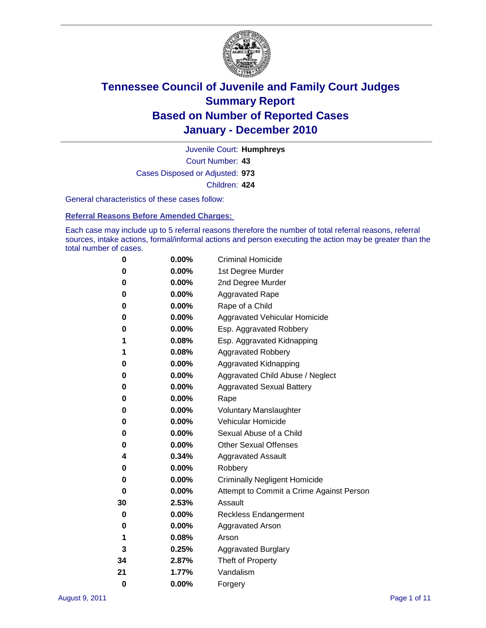

Court Number: **43** Juvenile Court: **Humphreys** Cases Disposed or Adjusted: **973** Children: **424**

General characteristics of these cases follow:

**Referral Reasons Before Amended Charges:** 

Each case may include up to 5 referral reasons therefore the number of total referral reasons, referral sources, intake actions, formal/informal actions and person executing the action may be greater than the total number of cases.

| 0  | 0.00% | <b>Criminal Homicide</b>                 |  |  |  |  |  |
|----|-------|------------------------------------------|--|--|--|--|--|
| 0  | 0.00% | 1st Degree Murder                        |  |  |  |  |  |
| 0  | 0.00% | 2nd Degree Murder                        |  |  |  |  |  |
| 0  | 0.00% | <b>Aggravated Rape</b>                   |  |  |  |  |  |
| 0  | 0.00% | Rape of a Child                          |  |  |  |  |  |
| 0  | 0.00% | Aggravated Vehicular Homicide            |  |  |  |  |  |
| 0  | 0.00% | Esp. Aggravated Robbery                  |  |  |  |  |  |
| 1  | 0.08% | Esp. Aggravated Kidnapping               |  |  |  |  |  |
| 1  | 0.08% | <b>Aggravated Robbery</b>                |  |  |  |  |  |
| 0  | 0.00% | Aggravated Kidnapping                    |  |  |  |  |  |
| 0  | 0.00% | Aggravated Child Abuse / Neglect         |  |  |  |  |  |
| 0  | 0.00% | <b>Aggravated Sexual Battery</b>         |  |  |  |  |  |
| 0  | 0.00% | Rape                                     |  |  |  |  |  |
| 0  | 0.00% | <b>Voluntary Manslaughter</b>            |  |  |  |  |  |
| 0  | 0.00% | Vehicular Homicide                       |  |  |  |  |  |
| 0  | 0.00% | Sexual Abuse of a Child                  |  |  |  |  |  |
| 0  | 0.00% | <b>Other Sexual Offenses</b>             |  |  |  |  |  |
| 4  | 0.34% | <b>Aggravated Assault</b>                |  |  |  |  |  |
| 0  | 0.00% | Robbery                                  |  |  |  |  |  |
| 0  | 0.00% | <b>Criminally Negligent Homicide</b>     |  |  |  |  |  |
| 0  | 0.00% | Attempt to Commit a Crime Against Person |  |  |  |  |  |
| 30 | 2.53% | Assault                                  |  |  |  |  |  |
| 0  | 0.00% | <b>Reckless Endangerment</b>             |  |  |  |  |  |
| 0  | 0.00% | <b>Aggravated Arson</b>                  |  |  |  |  |  |
| 1  | 0.08% | Arson                                    |  |  |  |  |  |
| 3  | 0.25% | <b>Aggravated Burglary</b>               |  |  |  |  |  |
| 34 | 2.87% | Theft of Property                        |  |  |  |  |  |
| 21 | 1.77% | Vandalism                                |  |  |  |  |  |
| 0  | 0.00% | Forgery                                  |  |  |  |  |  |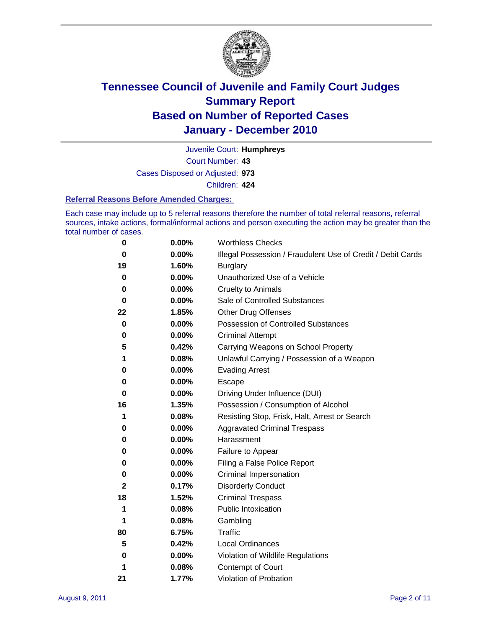

Court Number: **43** Juvenile Court: **Humphreys** Cases Disposed or Adjusted: **973**

Children: **424**

#### **Referral Reasons Before Amended Charges:**

Each case may include up to 5 referral reasons therefore the number of total referral reasons, referral sources, intake actions, formal/informal actions and person executing the action may be greater than the total number of cases.

| 0  | 0.00% | <b>Worthless Checks</b>                                     |  |  |  |
|----|-------|-------------------------------------------------------------|--|--|--|
| 0  | 0.00% | Illegal Possession / Fraudulent Use of Credit / Debit Cards |  |  |  |
| 19 | 1.60% | <b>Burglary</b>                                             |  |  |  |
| 0  | 0.00% | Unauthorized Use of a Vehicle                               |  |  |  |
| 0  | 0.00% | <b>Cruelty to Animals</b>                                   |  |  |  |
| 0  | 0.00% | Sale of Controlled Substances                               |  |  |  |
| 22 | 1.85% | <b>Other Drug Offenses</b>                                  |  |  |  |
| 0  | 0.00% | <b>Possession of Controlled Substances</b>                  |  |  |  |
| 0  | 0.00% | <b>Criminal Attempt</b>                                     |  |  |  |
| 5  | 0.42% | Carrying Weapons on School Property                         |  |  |  |
| 1  | 0.08% | Unlawful Carrying / Possession of a Weapon                  |  |  |  |
| 0  | 0.00% | <b>Evading Arrest</b>                                       |  |  |  |
| 0  | 0.00% | Escape                                                      |  |  |  |
| 0  | 0.00% | Driving Under Influence (DUI)                               |  |  |  |
| 16 | 1.35% | Possession / Consumption of Alcohol                         |  |  |  |
| 1  | 0.08% | Resisting Stop, Frisk, Halt, Arrest or Search               |  |  |  |
| 0  | 0.00% | <b>Aggravated Criminal Trespass</b>                         |  |  |  |
| 0  | 0.00% | Harassment                                                  |  |  |  |
| 0  | 0.00% | Failure to Appear                                           |  |  |  |
| 0  | 0.00% | Filing a False Police Report                                |  |  |  |
| 0  | 0.00% | Criminal Impersonation                                      |  |  |  |
| 2  | 0.17% | <b>Disorderly Conduct</b>                                   |  |  |  |
| 18 | 1.52% | <b>Criminal Trespass</b>                                    |  |  |  |
| 1  | 0.08% | <b>Public Intoxication</b>                                  |  |  |  |
| 1  | 0.08% | Gambling                                                    |  |  |  |
| 80 | 6.75% | <b>Traffic</b>                                              |  |  |  |
| 5  | 0.42% | <b>Local Ordinances</b>                                     |  |  |  |
| 0  | 0.00% | Violation of Wildlife Regulations                           |  |  |  |
| 1  | 0.08% | Contempt of Court                                           |  |  |  |
| 21 | 1.77% | Violation of Probation                                      |  |  |  |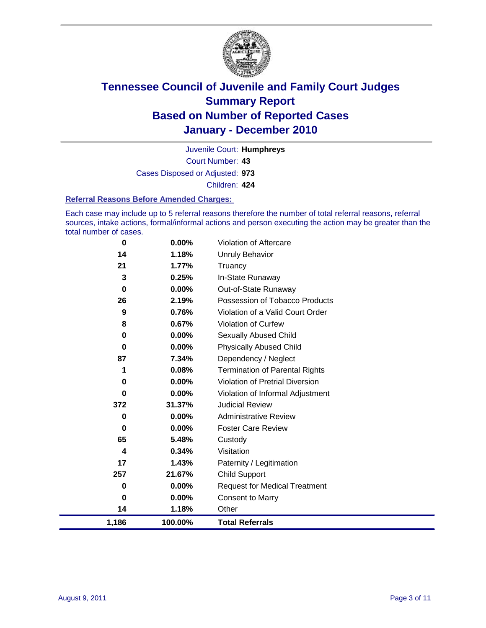

Court Number: **43** Juvenile Court: **Humphreys** Cases Disposed or Adjusted: **973** Children: **424**

#### **Referral Reasons Before Amended Charges:**

Each case may include up to 5 referral reasons therefore the number of total referral reasons, referral sources, intake actions, formal/informal actions and person executing the action may be greater than the total number of cases.

| 1,186 | 100.00%  | <b>Total Referrals</b>                 |
|-------|----------|----------------------------------------|
| 14    | 1.18%    | Other                                  |
| 0     | 0.00%    | <b>Consent to Marry</b>                |
| 0     | $0.00\%$ | <b>Request for Medical Treatment</b>   |
| 257   | 21.67%   | <b>Child Support</b>                   |
| 17    | 1.43%    | Paternity / Legitimation               |
| 4     | 0.34%    | Visitation                             |
| 65    | 5.48%    | Custody                                |
| 0     | 0.00%    | <b>Foster Care Review</b>              |
| 0     | $0.00\%$ | <b>Administrative Review</b>           |
| 372   | 31.37%   | <b>Judicial Review</b>                 |
| 0     | 0.00%    | Violation of Informal Adjustment       |
| 0     | $0.00\%$ | <b>Violation of Pretrial Diversion</b> |
| 1     | 0.08%    | <b>Termination of Parental Rights</b>  |
| 87    | 7.34%    | Dependency / Neglect                   |
| 0     | $0.00\%$ | <b>Physically Abused Child</b>         |
| 0     | 0.00%    | <b>Sexually Abused Child</b>           |
| 8     | 0.67%    | Violation of Curfew                    |
| 9     | 0.76%    | Violation of a Valid Court Order       |
| 26    | 2.19%    | Possession of Tobacco Products         |
| 0     | $0.00\%$ | Out-of-State Runaway                   |
| 3     | 0.25%    | In-State Runaway                       |
| 21    | 1.77%    | Truancy                                |
| 14    | 1.18%    | <b>Unruly Behavior</b>                 |
| 0     | 0.00%    | <b>Violation of Aftercare</b>          |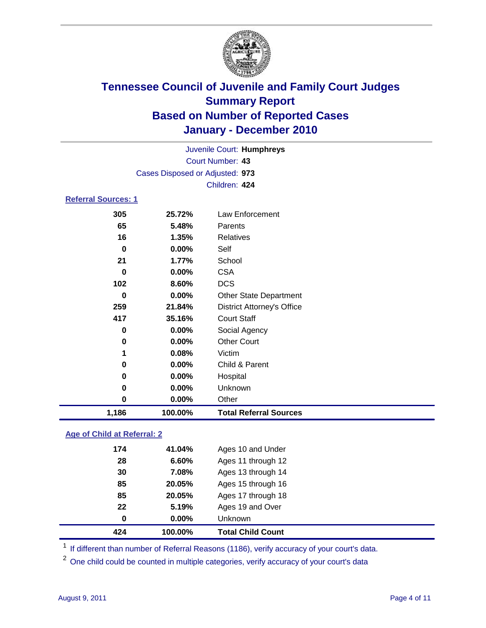

| 1,186                      | 100.00%                         | <b>Total Referral Sources</b>     |  |  |
|----------------------------|---------------------------------|-----------------------------------|--|--|
| 0                          | $0.00\%$                        | Other                             |  |  |
| $\bf{0}$                   | 0.00%                           | Unknown                           |  |  |
| 0                          | 0.00%                           | Hospital                          |  |  |
| 0                          | $0.00\%$                        | Child & Parent                    |  |  |
| 1                          | 0.08%                           | Victim                            |  |  |
| 0                          | $0.00\%$                        | <b>Other Court</b>                |  |  |
| $\bf{0}$                   | $0.00\%$                        | Social Agency                     |  |  |
| 417                        | 35.16%                          | <b>Court Staff</b>                |  |  |
| 259                        | 21.84%                          | <b>District Attorney's Office</b> |  |  |
| $\bf{0}$                   | 0.00%                           | <b>Other State Department</b>     |  |  |
| 102                        | 8.60%                           | <b>DCS</b>                        |  |  |
| $\Omega$                   | $0.00\%$                        | <b>CSA</b>                        |  |  |
| 21                         | 1.77%                           | School                            |  |  |
| $\bf{0}$                   | 0.00%                           | Self                              |  |  |
| 16                         | 1.35%                           | <b>Relatives</b>                  |  |  |
| 65                         | 5.48%                           | Parents                           |  |  |
| 305                        | 25.72%                          | <b>Law Enforcement</b>            |  |  |
| <b>Referral Sources: 1</b> |                                 |                                   |  |  |
| Children: 424              |                                 |                                   |  |  |
|                            | Cases Disposed or Adjusted: 973 |                                   |  |  |
|                            |                                 | Court Number: 43                  |  |  |
|                            | Juvenile Court: Humphreys       |                                   |  |  |
|                            |                                 |                                   |  |  |

### **Age of Child at Referral: 2**

| 22<br>0 | 5.19%<br>$0.00\%$ | Ages 19 and Over<br><b>Unknown</b> |
|---------|-------------------|------------------------------------|
|         |                   |                                    |
|         |                   |                                    |
| 85      | 20.05%            | Ages 17 through 18                 |
| 85      | 20.05%            | Ages 15 through 16                 |
| 30      | 7.08%             | Ages 13 through 14                 |
| 28      | 6.60%             | Ages 11 through 12                 |
| 174     | 41.04%            | Ages 10 and Under                  |
|         |                   |                                    |

<sup>1</sup> If different than number of Referral Reasons (1186), verify accuracy of your court's data.

<sup>2</sup> One child could be counted in multiple categories, verify accuracy of your court's data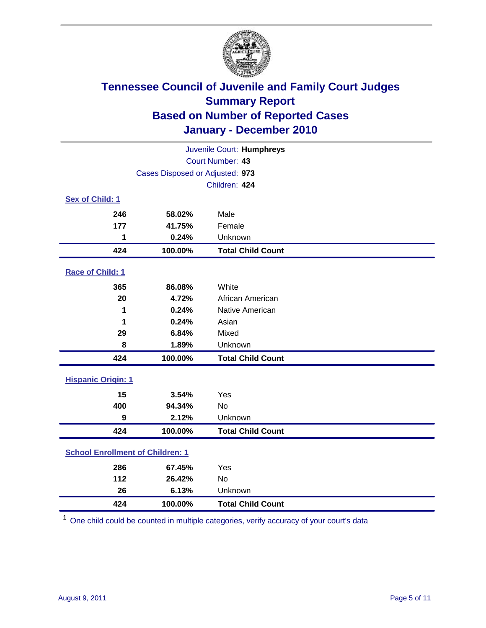

| Juvenile Court: Humphreys               |                                 |                          |  |  |  |
|-----------------------------------------|---------------------------------|--------------------------|--|--|--|
|                                         | Court Number: 43                |                          |  |  |  |
|                                         | Cases Disposed or Adjusted: 973 |                          |  |  |  |
|                                         |                                 | Children: 424            |  |  |  |
| Sex of Child: 1                         |                                 |                          |  |  |  |
| 246                                     | 58.02%                          | Male                     |  |  |  |
| 177                                     | 41.75%                          | Female                   |  |  |  |
| 1                                       | 0.24%                           | Unknown                  |  |  |  |
| 424                                     | 100.00%                         | <b>Total Child Count</b> |  |  |  |
| Race of Child: 1                        |                                 |                          |  |  |  |
| 365                                     | 86.08%                          | White                    |  |  |  |
| 20                                      | 4.72%                           | African American         |  |  |  |
| 1                                       | 0.24%                           | Native American          |  |  |  |
| 1                                       | 0.24%                           | Asian                    |  |  |  |
| 29                                      | 6.84%                           | Mixed                    |  |  |  |
| 8                                       | 1.89%                           | Unknown                  |  |  |  |
| 424                                     | 100.00%                         | <b>Total Child Count</b> |  |  |  |
| <b>Hispanic Origin: 1</b>               |                                 |                          |  |  |  |
| 15                                      | 3.54%                           | Yes                      |  |  |  |
| 400                                     | 94.34%                          | <b>No</b>                |  |  |  |
| 9                                       | 2.12%                           | Unknown                  |  |  |  |
| 424                                     | 100.00%                         | <b>Total Child Count</b> |  |  |  |
| <b>School Enrollment of Children: 1</b> |                                 |                          |  |  |  |
| 286                                     | 67.45%                          | Yes                      |  |  |  |
| 112                                     | 26.42%                          | No                       |  |  |  |
| 26                                      | 6.13%                           | Unknown                  |  |  |  |
| 424                                     | 100.00%                         | <b>Total Child Count</b> |  |  |  |

One child could be counted in multiple categories, verify accuracy of your court's data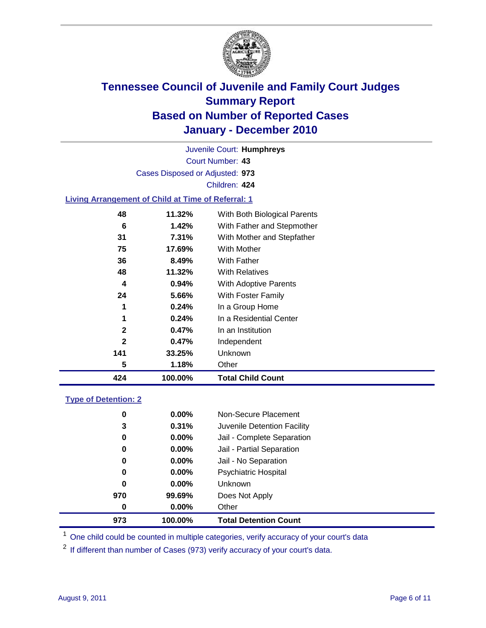

Court Number: **43** Juvenile Court: **Humphreys** Cases Disposed or Adjusted: **973** Children: **424 Living Arrangement of Child at Time of Referral: 1**

| 424          | 100.00%  | <b>Total Child Count</b>     |
|--------------|----------|------------------------------|
| 5            | 1.18%    | Other                        |
| 141          | 33.25%   | Unknown                      |
| $\mathbf{2}$ | 0.47%    | Independent                  |
| $\mathbf{2}$ | 0.47%    | In an Institution            |
| 1            | 0.24%    | In a Residential Center      |
| 1            | 0.24%    | In a Group Home              |
| 24           | 5.66%    | With Foster Family           |
| 4            | $0.94\%$ | With Adoptive Parents        |
| 48           | 11.32%   | <b>With Relatives</b>        |
| 36           | 8.49%    | With Father                  |
| 75           | 17.69%   | With Mother                  |
| 31           | 7.31%    | With Mother and Stepfather   |
| 6            | 1.42%    | With Father and Stepmother   |
| 48           | 11.32%   | With Both Biological Parents |

### **Type of Detention: 2**

| 973      | 100.00%  | <b>Total Detention Count</b> |  |
|----------|----------|------------------------------|--|
| $\bf{0}$ | 0.00%    | Other                        |  |
| 970      | 99.69%   | Does Not Apply               |  |
| 0        | $0.00\%$ | Unknown                      |  |
| 0        | $0.00\%$ | Psychiatric Hospital         |  |
| 0        | 0.00%    | Jail - No Separation         |  |
| 0        | $0.00\%$ | Jail - Partial Separation    |  |
| 0        | $0.00\%$ | Jail - Complete Separation   |  |
| 3        | 0.31%    | Juvenile Detention Facility  |  |
| 0        | $0.00\%$ | Non-Secure Placement         |  |
|          |          |                              |  |

<sup>1</sup> One child could be counted in multiple categories, verify accuracy of your court's data

<sup>2</sup> If different than number of Cases (973) verify accuracy of your court's data.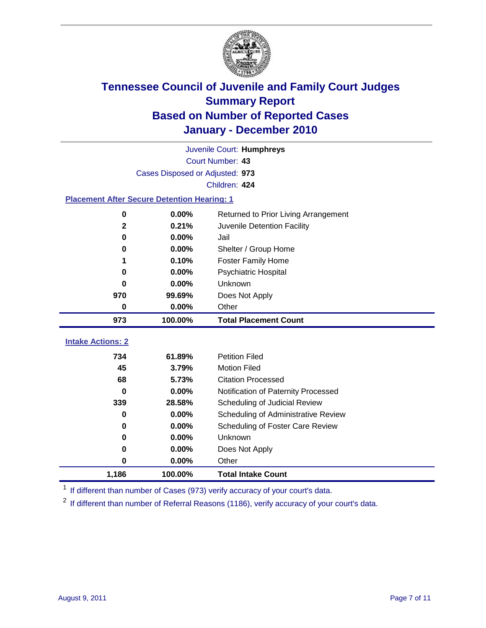

|                                                    | Juvenile Court: Humphreys       |                                      |  |  |  |
|----------------------------------------------------|---------------------------------|--------------------------------------|--|--|--|
|                                                    | Court Number: 43                |                                      |  |  |  |
|                                                    | Cases Disposed or Adjusted: 973 |                                      |  |  |  |
|                                                    | Children: 424                   |                                      |  |  |  |
| <b>Placement After Secure Detention Hearing: 1</b> |                                 |                                      |  |  |  |
| 0                                                  | 0.00%                           | Returned to Prior Living Arrangement |  |  |  |
| $\mathbf{2}$                                       | 0.21%                           | Juvenile Detention Facility          |  |  |  |
| $\bf{0}$                                           | 0.00%                           | Jail                                 |  |  |  |
| 0                                                  | 0.00%                           | Shelter / Group Home                 |  |  |  |
| 1                                                  | 0.10%                           | <b>Foster Family Home</b>            |  |  |  |
| 0                                                  | 0.00%                           | Psychiatric Hospital                 |  |  |  |
| 0                                                  | 0.00%                           | Unknown                              |  |  |  |
| 970                                                | 99.69%                          | Does Not Apply                       |  |  |  |
| 0                                                  | $0.00\%$                        | Other                                |  |  |  |
| 973                                                | 100.00%                         | <b>Total Placement Count</b>         |  |  |  |
|                                                    |                                 |                                      |  |  |  |
| <b>Intake Actions: 2</b>                           |                                 |                                      |  |  |  |
| 734                                                | 61.89%                          | <b>Petition Filed</b>                |  |  |  |
| 45                                                 | 3.79%                           | <b>Motion Filed</b>                  |  |  |  |
| 68                                                 | 5.73%                           | <b>Citation Processed</b>            |  |  |  |
| 0                                                  | 0.00%                           | Notification of Paternity Processed  |  |  |  |
| 339                                                | 28.58%                          | Scheduling of Judicial Review        |  |  |  |
| $\bf{0}$                                           | 0.00%                           | Scheduling of Administrative Review  |  |  |  |
| 0                                                  | 0.00%                           | Scheduling of Foster Care Review     |  |  |  |
| $\bf{0}$                                           | 0.00%                           | Unknown                              |  |  |  |
| 0                                                  | 0.00%                           | Does Not Apply                       |  |  |  |
| 0                                                  | 0.00%                           | Other                                |  |  |  |

<sup>1</sup> If different than number of Cases (973) verify accuracy of your court's data.

<sup>2</sup> If different than number of Referral Reasons (1186), verify accuracy of your court's data.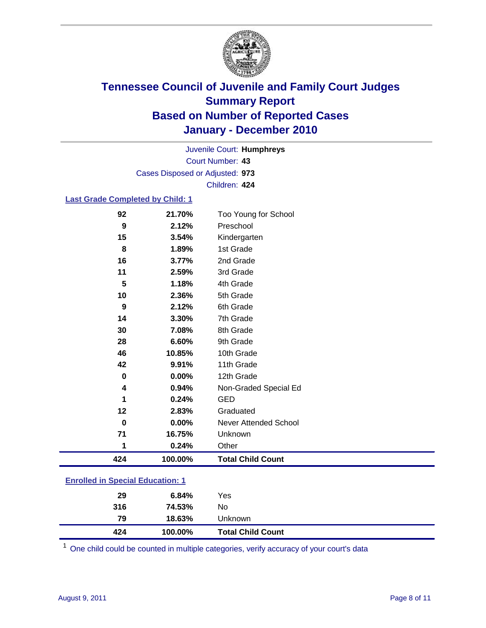

Court Number: **43** Juvenile Court: **Humphreys** Cases Disposed or Adjusted: **973** Children: **424**

#### **Last Grade Completed by Child: 1**

| 424         | 100.00%         | <b>Total Child Count</b>          |  |
|-------------|-----------------|-----------------------------------|--|
| 1           | 0.24%           | Other                             |  |
| 71          | 16.75%          | Unknown                           |  |
| $\mathbf 0$ | 0.00%           | <b>Never Attended School</b>      |  |
| 12          | 2.83%           | Graduated                         |  |
| 1           | 0.24%           | <b>GED</b>                        |  |
| 4           | 0.94%           | Non-Graded Special Ed             |  |
| $\pmb{0}$   | 0.00%           | 12th Grade                        |  |
| 42          | 9.91%           | 11th Grade                        |  |
| 46          | 10.85%          | 10th Grade                        |  |
| 28          | 6.60%           | 9th Grade                         |  |
| 30          | 7.08%           | 8th Grade                         |  |
| 14          | 3.30%           | 7th Grade                         |  |
| 9           | 2.12%           | 6th Grade                         |  |
| 10          | 2.36%           | 5th Grade                         |  |
| 5           | 1.18%           | 4th Grade                         |  |
| 11          | 2.59%           | 3rd Grade                         |  |
| 16          | 3.77%           | 2nd Grade                         |  |
| 8           | 1.89%           | 1st Grade                         |  |
| 15          | 3.54%           | Kindergarten                      |  |
| 92<br>9     | 21.70%<br>2.12% | Too Young for School<br>Preschool |  |

| 424                                     | 100.00% | <b>Total Child Count</b> |  |  |
|-----------------------------------------|---------|--------------------------|--|--|
| 79                                      | 18.63%  | Unknown                  |  |  |
| 316                                     | 74.53%  | No                       |  |  |
| 29                                      | 6.84%   | Yes                      |  |  |
| <b>Enrolled in Special Education: 1</b> |         |                          |  |  |

One child could be counted in multiple categories, verify accuracy of your court's data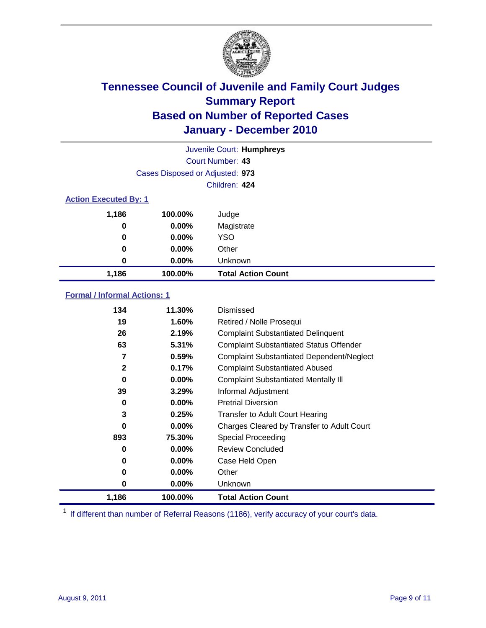

|                              | Juvenile Court: Humphreys       |                           |  |  |  |
|------------------------------|---------------------------------|---------------------------|--|--|--|
|                              |                                 | Court Number: 43          |  |  |  |
|                              | Cases Disposed or Adjusted: 973 |                           |  |  |  |
|                              |                                 | Children: 424             |  |  |  |
| <b>Action Executed By: 1</b> |                                 |                           |  |  |  |
| 1,186                        | 100.00%                         | Judge                     |  |  |  |
| 0                            | $0.00\%$                        | Magistrate                |  |  |  |
| $\bf{0}$                     | $0.00\%$                        | <b>YSO</b>                |  |  |  |
| 0                            | 0.00%                           | Other                     |  |  |  |
| 0                            | 0.00%                           | Unknown                   |  |  |  |
| 1,186                        | 100.00%                         | <b>Total Action Count</b> |  |  |  |

### **Formal / Informal Actions: 1**

| 134          | 11.30%   | Dismissed                                        |
|--------------|----------|--------------------------------------------------|
| 19           | 1.60%    | Retired / Nolle Prosequi                         |
| 26           | 2.19%    | <b>Complaint Substantiated Delinquent</b>        |
| 63           | 5.31%    | <b>Complaint Substantiated Status Offender</b>   |
| 7            | 0.59%    | <b>Complaint Substantiated Dependent/Neglect</b> |
| $\mathbf{2}$ | 0.17%    | <b>Complaint Substantiated Abused</b>            |
| 0            | $0.00\%$ | <b>Complaint Substantiated Mentally III</b>      |
| 39           | 3.29%    | Informal Adjustment                              |
| 0            | $0.00\%$ | <b>Pretrial Diversion</b>                        |
| 3            | 0.25%    | <b>Transfer to Adult Court Hearing</b>           |
| 0            | $0.00\%$ | Charges Cleared by Transfer to Adult Court       |
| 893          | 75.30%   | Special Proceeding                               |
| 0            | $0.00\%$ | <b>Review Concluded</b>                          |
| 0            | $0.00\%$ | Case Held Open                                   |
| 0            | $0.00\%$ | Other                                            |
| 0            | 0.00%    | <b>Unknown</b>                                   |
| 1,186        | 100.00%  | <b>Total Action Count</b>                        |

<sup>1</sup> If different than number of Referral Reasons (1186), verify accuracy of your court's data.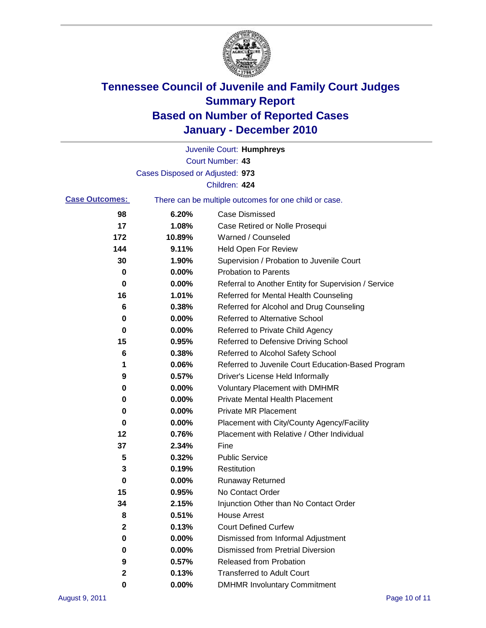

|                       |                                 | Juvenile Court: Humphreys                             |
|-----------------------|---------------------------------|-------------------------------------------------------|
|                       |                                 | Court Number: 43                                      |
|                       | Cases Disposed or Adjusted: 973 |                                                       |
|                       |                                 | Children: 424                                         |
| <b>Case Outcomes:</b> |                                 | There can be multiple outcomes for one child or case. |
| 98                    | 6.20%                           | <b>Case Dismissed</b>                                 |
| 17                    | 1.08%                           | Case Retired or Nolle Prosequi                        |
| 172                   | 10.89%                          | Warned / Counseled                                    |
| 144                   | 9.11%                           | <b>Held Open For Review</b>                           |
| 30                    | 1.90%                           | Supervision / Probation to Juvenile Court             |
| 0                     | 0.00%                           | <b>Probation to Parents</b>                           |
| 0                     | 0.00%                           | Referral to Another Entity for Supervision / Service  |
| 16                    | 1.01%                           | Referred for Mental Health Counseling                 |
| 6                     | 0.38%                           | Referred for Alcohol and Drug Counseling              |
| 0                     | 0.00%                           | Referred to Alternative School                        |
| 0                     | 0.00%                           | Referred to Private Child Agency                      |
| 15                    | 0.95%                           | Referred to Defensive Driving School                  |
| 6                     | 0.38%                           | Referred to Alcohol Safety School                     |
| 1                     | 0.06%                           | Referred to Juvenile Court Education-Based Program    |
| 9                     | 0.57%                           | Driver's License Held Informally                      |
| 0                     | 0.00%                           | <b>Voluntary Placement with DMHMR</b>                 |
| 0                     | 0.00%                           | <b>Private Mental Health Placement</b>                |
| 0                     | 0.00%                           | <b>Private MR Placement</b>                           |
| 0                     | 0.00%                           | Placement with City/County Agency/Facility            |
| 12                    | 0.76%                           | Placement with Relative / Other Individual            |
| 37                    | 2.34%                           | Fine                                                  |
| 5                     | 0.32%                           | <b>Public Service</b>                                 |
| 3                     | 0.19%                           | Restitution                                           |
| 0                     | 0.00%                           | Runaway Returned                                      |
| 15                    | 0.95%                           | No Contact Order                                      |
| 34                    | 2.15%                           | Injunction Other than No Contact Order                |
| 8                     | 0.51%                           | <b>House Arrest</b>                                   |
| $\mathbf{2}$          | 0.13%                           | <b>Court Defined Curfew</b>                           |
| 0                     | 0.00%                           | Dismissed from Informal Adjustment                    |
| 0                     | 0.00%                           | <b>Dismissed from Pretrial Diversion</b>              |
| 9                     | 0.57%                           | Released from Probation                               |
| 2                     | 0.13%                           | <b>Transferred to Adult Court</b>                     |
| 0                     | 0.00%                           | <b>DMHMR Involuntary Commitment</b>                   |